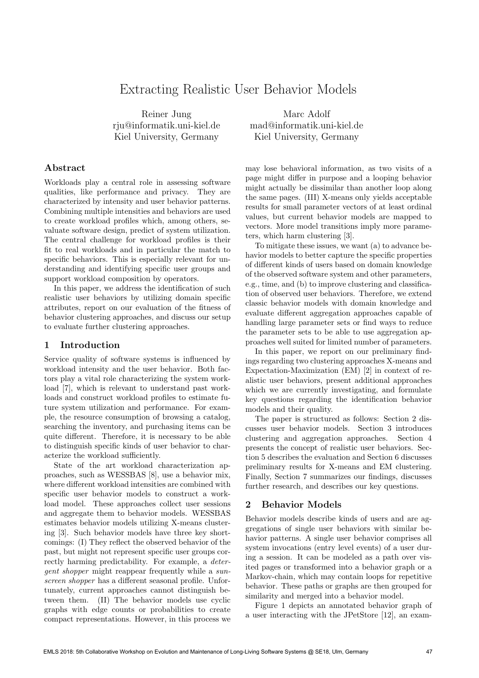# Extracting Realistic User Behavior Models

Reiner Jung rju@informatik.uni-kiel.de Kiel University, Germany

Marc Adolf mad@informatik.uni-kiel.de Kiel University, Germany

## Abstract

Workloads play a central role in assessing software qualities, like performance and privacy. They are characterized by intensity and user behavior patterns. Combining multiple intensities and behaviors are used to create workload profiles which, among others, sevaluate software design, predict of system utilization. The central challenge for workload profiles is their fit to real workloads and in particular the match to specific behaviors. This is especially relevant for understanding and identifying specific user groups and support workload composition by operators.

In this paper, we address the identification of such realistic user behaviors by utilizing domain specific attributes, report on our evaluation of the fitness of behavior clustering approaches, and discuss our setup to evaluate further clustering approaches.

## 1 Introduction

Service quality of software systems is influenced by workload intensity and the user behavior. Both factors play a vital role characterizing the system workload [\[7\]](#page-3-0), which is relevant to understand past workloads and construct workload profiles to estimate future system utilization and performance. For example, the resource consumption of browsing a catalog, searching the inventory, and purchasing items can be quite different. Therefore, it is necessary to be able to distinguish specific kinds of user behavior to characterize the workload sufficiently.

State of the art workload characterization approaches, such as WESSBAS [\[8\]](#page-3-1), use a behavior mix, where different workload intensities are combined with specific user behavior models to construct a workload model. These approaches collect user sessions and aggregate them to behavior models. WESSBAS estimates behavior models utilizing X-means clustering [\[3\]](#page-3-2). Such behavior models have three key shortcomings: (I) They reflect the observed behavior of the past, but might not represent specific user groups correctly harming predictability. For example, a detergent shopper might reappear frequently while a sunscreen shopper has a different seasonal profile. Unfortunately, current approaches cannot distinguish between them. (II) The behavior models use cyclic graphs with edge counts or probabilities to create compact representations. However, in this process we may lose behavioral information, as two visits of a page might differ in purpose and a looping behavior might actually be dissimilar than another loop along the same pages. (III) X-means only yields acceptable results for small parameter vectors of at least ordinal values, but current behavior models are mapped to vectors. More model transitions imply more parameters, which harm clustering [\[3\]](#page-3-2).

To mitigate these issues, we want (a) to advance behavior models to better capture the specific properties of different kinds of users based on domain knowledge of the observed software system and other parameters, e.g., time, and (b) to improve clustering and classification of observed user behaviors. Therefore, we extend classic behavior models with domain knowledge and evaluate different aggregation approaches capable of handling large parameter sets or find ways to reduce the parameter sets to be able to use aggregation approaches well suited for limited number of parameters.

In this paper, we report on our preliminary findings regarding two clustering approaches X-means and Expectation-Maximization (EM) [\[2\]](#page-3-3) in context of realistic user behaviors, present additional approaches which we are currently investigating, and formulate key questions regarding the identification behavior models and their quality.

The paper is structured as follows: [Section 2](#page-0-0) discusses user behavior models. [Section 3](#page-1-0) introduces clustering and aggregation approaches. [Section 4](#page-1-1) presents the concept of realistic user behaviors. [Sec](#page-2-0)[tion 5](#page-2-0) describes the evaluation and [Section 6](#page-2-1) discusses preliminary results for X-means and EM clustering. Finally, [Section 7](#page-3-4) summarizes our findings, discusses further research, and describes our key questions.

## <span id="page-0-0"></span>2 Behavior Models

Behavior models describe kinds of users and are aggregations of single user behaviors with similar behavior patterns. A single user behavior comprises all system invocations (entry level events) of a user during a session. It can be modeled as a path over visited pages or transformed into a behavior graph or a Markov-chain, which may contain loops for repetitive behavior. These paths or graphs are then grouped for similarity and merged into a behavior model.

[Figure 1](#page-1-2) depicts an annotated behavior graph of a user interacting with the JPetStore [\[12\]](#page-3-5), an exam-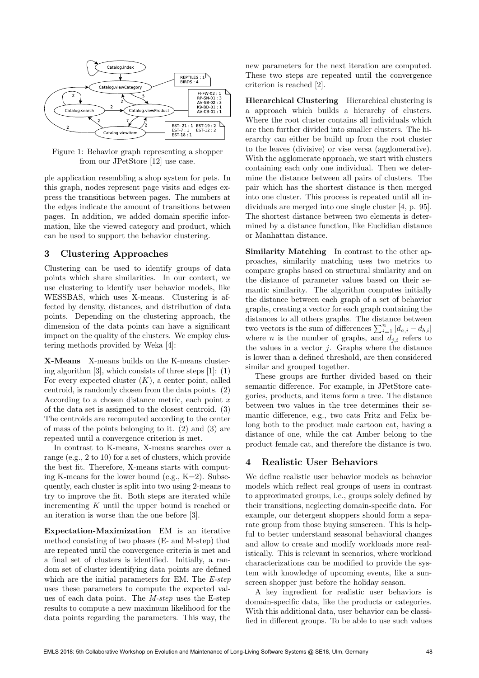<span id="page-1-2"></span>

Figure 1: Behavior graph representing a shopper from our JPetStore [\[12\]](#page-3-5) use case.

ple application resembling a shop system for pets. In this graph, nodes represent page visits and edges express the transitions between pages. The numbers at the edges indicate the amount of transitions between pages. In addition, we added domain specific information, like the viewed category and product, which can be used to support the behavior clustering.

## <span id="page-1-0"></span>3 Clustering Approaches

Clustering can be used to identify groups of data points which share similarities. In our context, we use clustering to identify user behavior models, like WESSBAS, which uses X-means. Clustering is affected by density, distances, and distribution of data points. Depending on the clustering approach, the dimension of the data points can have a significant impact on the quality of the clusters. We employ clustering methods provided by Weka [\[4\]](#page-3-6):

X-Means X-means builds on the K-means clustering algorithm  $[3]$ , which consists of three steps  $[1]$ :  $(1)$ For every expected cluster  $(K)$ , a center point, called centroid, is randomly chosen from the data points. (2) According to a chosen distance metric, each point  $x$ of the data set is assigned to the closest centroid. (3) The centroids are recomputed according to the center of mass of the points belonging to it. (2) and (3) are repeated until a convergence criterion is met.

In contrast to K-means, X-means searches over a range (e.g., 2 to 10) for a set of clusters, which provide the best fit. Therefore, X-means starts with computing K-means for the lower bound (e.g.,  $K=2$ ). Subsequently, each cluster is split into two using 2-means to try to improve the fit. Both steps are iterated while incrementing  $K$  until the upper bound is reached or an iteration is worse than the one before [\[3\]](#page-3-2).

Expectation-Maximization EM is an iterative method consisting of two phases (E- and M-step) that are repeated until the convergence criteria is met and a final set of clusters is identified. Initially, a random set of cluster identifying data points are defined which are the initial parameters for EM. The  $E\text{-}step$ uses these parameters to compute the expected values of each data point. The M-step uses the E-step results to compute a new maximum likelihood for the data points regarding the parameters. This way, the new parameters for the next iteration are computed. These two steps are repeated until the convergence criterion is reached [\[2\]](#page-3-3).

Hierarchical Clustering Hierarchical clustering is a approach which builds a hierarchy of clusters. Where the root cluster contains all individuals which are then further divided into smaller clusters. The hierarchy can either be build up from the root cluster to the leaves (divisive) or vise versa (agglomerative). With the agglomerate approach, we start with clusters containing each only one individual. Then we determine the distance between all pairs of clusters. The pair which has the shortest distance is then merged into one cluster. This process is repeated until all individuals are merged into one single cluster [\[4,](#page-3-6) p. 95]. The shortest distance between two elements is determined by a distance function, like Euclidian distance or Manhattan distance.

Similarity Matching In contrast to the other approaches, similarity matching uses two metrics to compare graphs based on structural similarity and on the distance of parameter values based on their semantic similarity. The algorithm computes initially the distance between each graph of a set of behavior graphs, creating a vector for each graph containing the distances to all others graphs. The distance between two vectors is the sum of differences  $\sum_{i=1}^{n} |d_{a,i} - d_{b,i}|$ where *n* is the number of graphs, and  $d_{i,i}$  refers to the values in a vector  $j$ . Graphs where the distance is lower than a defined threshold, are then considered similar and grouped together.

These groups are further divided based on their semantic difference. For example, in JPetStore categories, products, and items form a tree. The distance between two values in the tree determines their semantic difference, e.g., two cats Fritz and Felix belong both to the product male cartoon cat, having a distance of one, while the cat Amber belong to the product female cat, and therefore the distance is two.

## <span id="page-1-1"></span>4 Realistic User Behaviors

We define realistic user behavior models as behavior models which reflect real groups of users in contrast to approximated groups, i.e., groups solely defined by their transitions, neglecting domain-specific data. For example, our detergent shoppers should form a separate group from those buying sunscreen. This is helpful to better understand seasonal behavioral changes and allow to create and modify workloads more realistically. This is relevant in scenarios, where workload characterizations can be modified to provide the system with knowledge of upcoming events, like a sunscreen shopper just before the holiday season.

A key ingredient for realistic user behaviors is domain-specific data, like the products or categories. With this additional data, user behavior can be classified in different groups. To be able to use such values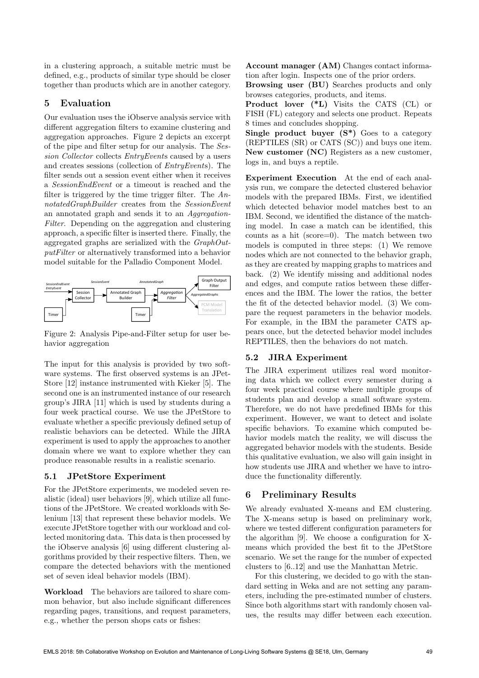in a clustering approach, a suitable metric must be defined, e.g., products of similar type should be closer together than products which are in another category.

## <span id="page-2-0"></span>5 Evaluation

Our evaluation uses the iObserve analysis service with different aggregation filters to examine clustering and aggregation approaches. [Figure 2](#page-2-2) depicts an excerpt of the pipe and filter setup for our analysis. The Session Collector collects EntryEvents caused by a users and creates sessions (collection of EntryEvents). The filter sends out a session event either when it receives a SessionEndEvent or a timeout is reached and the filter is triggered by the time trigger filter. The AnnotatedGraphBuilder creates from the SessionEvent an annotated graph and sends it to an Aggregation-Filter. Depending on the aggregation and clustering approach, a specific filter is inserted there. Finally, the aggregated graphs are serialized with the  $GraphOut$ putFilter or alternatively transformed into a behavior model suitable for the Palladio Component Model.

<span id="page-2-2"></span>

Figure 2: Analysis Pipe-and-Filter setup for user behavior aggregation

The input for this analysis is provided by two software systems. The first observed systems is an JPet-Store [\[12\]](#page-3-5) instance instrumented with Kieker [\[5\]](#page-3-8). The second one is an instrumented instance of our research group's JIRA [\[11\]](#page-3-9) which is used by students during a four week practical course. We use the JPetStore to evaluate whether a specific previously defined setup of realistic behaviors can be detected. While the JIRA experiment is used to apply the approaches to another domain where we want to explore whether they can produce reasonable results in a realistic scenario.

## 5.1 JPetStore Experiment

For the JPetStore experiments, we modeled seven realistic (ideal) user behaviors [\[9\]](#page-3-10), which utilize all functions of the JPetStore. We created workloads with Selenium [\[13\]](#page-3-11) that represent these behavior models. We execute JPetStore together with our workload and collected monitoring data. This data is then processed by the iObserve analysis [\[6\]](#page-3-12) using different clustering algorithms provided by their respective filters. Then, we compare the detected behaviors with the mentioned set of seven ideal behavior models (IBM).

Workload The behaviors are tailored to share common behavior, but also include significant differences regarding pages, transitions, and request parameters, e.g., whether the person shops cats or fishes:

Account manager (AM) Changes contact information after login. Inspects one of the prior orders.

Browsing user (BU) Searches products and only browses categories, products, and items.

Product lover (\*L) Visits the CATS (CL) or FISH (FL) category and selects one product. Repeats 8 times and concludes shopping.

Single product buyer  $(S^*)$  Goes to a category (REPTILES (SR) or CATS (SC)) and buys one item. New customer (NC) Registers as a new customer, logs in, and buys a reptile.

Experiment Execution At the end of each analysis run, we compare the detected clustered behavior models with the prepared IBMs. First, we identified which detected behavior model matches best to an IBM. Second, we identified the distance of the matching model. In case a match can be identified, this counts as a hit (score=0). The match between two models is computed in three steps: (1) We remove nodes which are not connected to the behavior graph, as they are created by mapping graphs to matrices and back. (2) We identify missing and additional nodes and edges, and compute ratios between these differences and the IBM. The lower the ratios, the better the fit of the detected behavior model. (3) We compare the request parameters in the behavior models. For example, in the IBM the parameter CATS appears once, but the detected behavior model includes REPTILES, then the behaviors do not match.

## 5.2 JIRA Experiment

The JIRA experiment utilizes real word monitoring data which we collect every semester during a four week practical course where multiple groups of students plan and develop a small software system. Therefore, we do not have predefined IBMs for this experiment. However, we want to detect and isolate specific behaviors. To examine which computed behavior models match the reality, we will discuss the aggregated behavior models with the students. Beside this qualitative evaluation, we also will gain insight in how students use JIRA and whether we have to introduce the functionality differently.

## <span id="page-2-1"></span>6 Preliminary Results

We already evaluated X-means and EM clustering. The X-means setup is based on preliminary work, where we tested different configuration parameters for the algorithm [\[9\]](#page-3-10). We choose a configuration for Xmeans which provided the best fit to the JPetStore scenario. We set the range for the number of expected clusters to [6..12] and use the Manhattan Metric.

For this clustering, we decided to go with the standard setting in Weka and are not setting any parameters, including the pre-estimated number of clusters. Since both algorithms start with randomly chosen values, the results may differ between each execution.